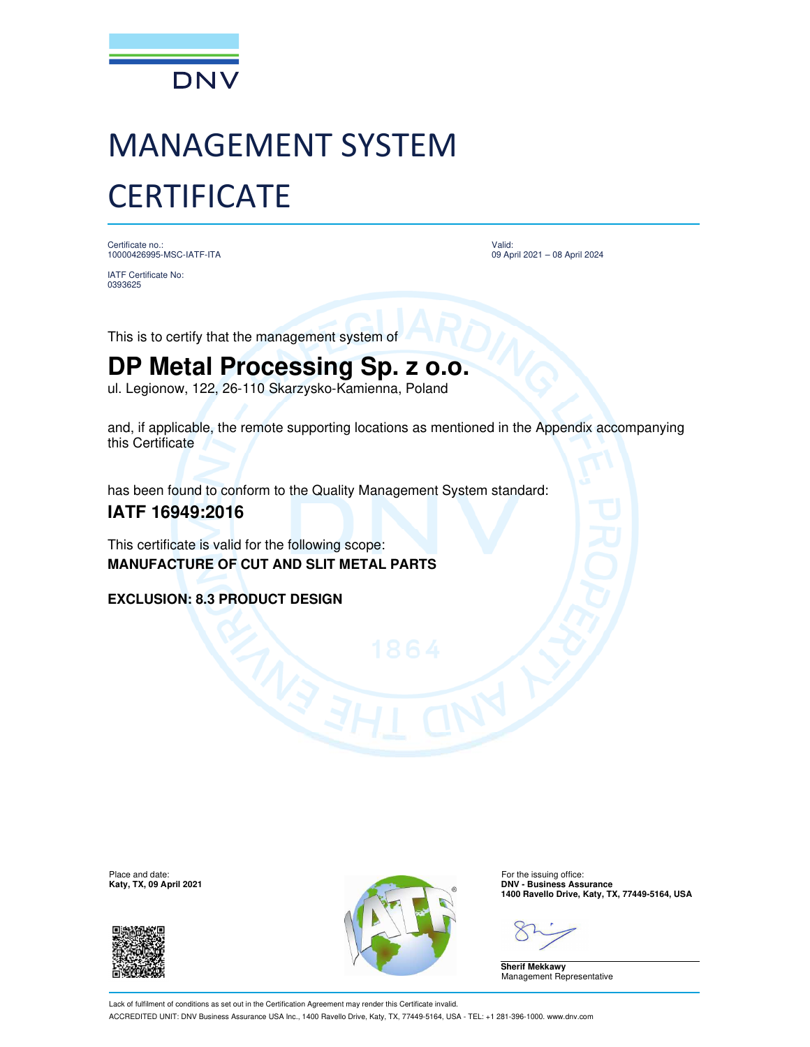

## MANAGEMENT SYSTEM **CERTIFICATE**

Certificate no.: 10000426995-MSC-IATF-ITA

IATF Certificate No: 0393625

Valid: 09 April 2021 – 08 April 2024

This is to certify that the management system of

## **DP Metal Processing Sp. z o.o.**

ul. Legionow, 122, 26-110 Skarzysko-Kamienna, Poland

and, if applicable, the remote supporting locations as mentioned in the Appendix accompanying this Certificate

has been found to conform to the Quality Management System standard:

## **IATF 16949:2016**

This certificate is valid for the following scope: **MANUFACTURE OF CUT AND SLIT METAL PARTS**

**EXCLUSION: 8.3 PRODUCT DESIGN**





**1400 Ravello Drive, Katy, TX, 77449-5164, USA**

**Sherif Mekkawy** Management Representative

Lack of fulfilment of conditions as set out in the Certification Agreement may render this Certificate invalid. ACCREDITED UNIT: DNV Business Assurance USA Inc., 1400 Ravello Drive, Katy, TX, 77449-5164, USA - TEL: +1 281-396-1000. www.dnv.com